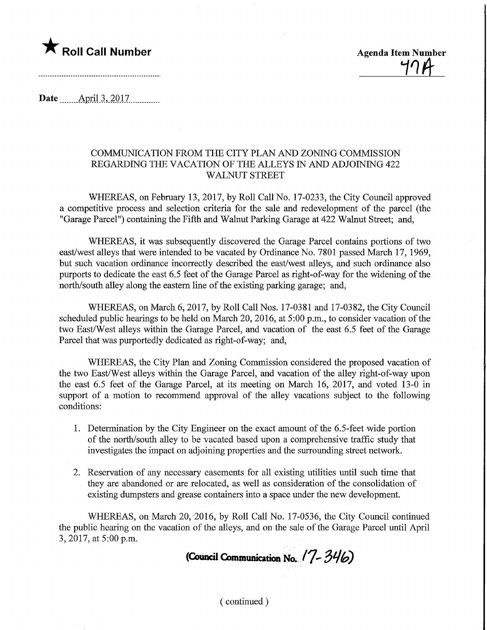

**Agenda Item Number** 

Date ........Apnl.3,.2017.

## COMMUNICATION FROM THE CITY PLAN AND ZONING COMMISSION REGARDING THE VACATION OF THE ALLEYS IN AND ADJOINING 422 WALNUT STREET

WHEREAS, on February 13, 2017, by Roll Call No. 17-0233, the City Council approved a competitive process and selection criteria for the sale and redevelopment of the parcel (the "Garage Parcel") containing the Fifth and Walnut Parking Garage at 422 Walnut Street; and,

WHEREAS, it was subsequently discovered the Garage Parcel contains portions of two east/west alleys that were intended to be vacated by Ordinance No. 7801 passed March 17, 1969, but such vacation ordinance incorrectly described the east/west alleys, and such ordinance also purports to dedicate the east 6.5 feet of the Garage Parcel as right-of-way for the widening of the north/south alley along the eastern line of the existing parking garage; and,

WHEREAS, on March 6, 2017, by Roll Call Nos. 17-0381 and 17-0382, the City Council scheduled public hearings to be held on March 20, 2016, at 5:00 p.m., to consider vacation of the two East/West alleys within the Garage Parcel, and vacation of the east 6.5 feet of the Garage Parcel that was purportedly dedicated as right-of-way; and,

WHEREAS, the City Plan and Zoning Commission considered the proposed vacation of the two East/West alleys within the Garage Parcel, and vacation of the alley right-of-way upon the east 6.5 feet of the Garage Parcel, at its meeting on March 16, 2017, and voted 13-0 in support of a motion to recommend approval of the alley vacations subject to the following conditions:

- 1. Determination by the City Engineer on the exact amount of the 6.5-feet wide portion of the north/south alley to be vacated based upon a comprehensive traffic study that investigates the impact on adjoining properties and the surrounding street network.
- 2. Reservation of any necessary easements for all existing utilities until such time that they are abandoned or are relocated, as well as consideration of the consolidation of existing dumpsters and grease containers into a space under the new development.

WHEREAS, on March 20, 2016, by Roll Call No. 17-0536, the City Council continued the public hearing on the vacation of the alleys, and on the sale of the Garage Parcel until April 3, 2017, at 5:00 p.m.

(Council Communication No.  $(7 - 346)$ 

(continued)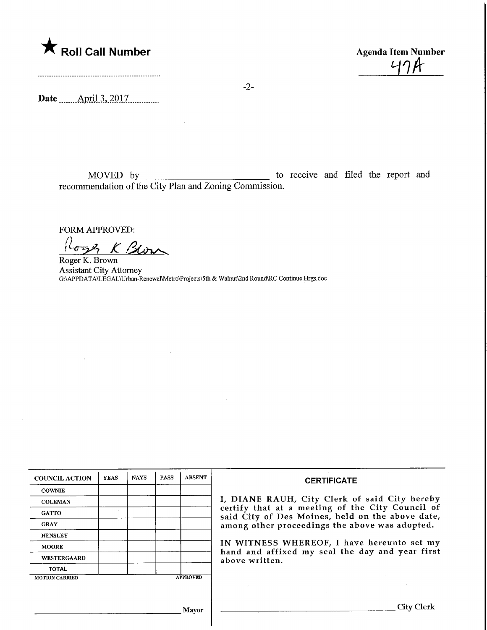

Agenda Item Number<br>474 Agenda Item Nur<br/><br> $47<sup>h</sup>$ 

Date ........April.3,.2017,

MOVED by to receive and filed the report and recommendation of the City Plan and Zoning Commission.

FORM APPROVED:

Roge K Blow Roger K. Brown

 $\sim 100$ 

Assistant City Attorney G:\APPDATA\LEGAL\Urban-Renewal\Metro\Projects\5th & Walnut\2nd Round\RC Continue Hrgs.doc

| <b>COUNCIL ACTION</b> | <b>YEAS</b> | <b>NAYS</b> | <b>PASS</b> | <b>ABSENT</b>   | <b>CERTIFICATE</b>                                                                                   |
|-----------------------|-------------|-------------|-------------|-----------------|------------------------------------------------------------------------------------------------------|
| <b>COWNIE</b>         |             |             |             |                 |                                                                                                      |
| <b>COLEMAN</b>        |             |             |             |                 | I, DIANE RAUH, City Clerk of said City hereby                                                        |
| <b>GATTO</b>          |             |             |             |                 | certify that at a meeting of the City Council of<br>said City of Des Moines, held on the above date, |
| <b>GRAY</b>           |             |             |             |                 | among other proceedings the above was adopted.                                                       |
| <b>HENSLEY</b>        |             |             |             |                 |                                                                                                      |
| <b>MOORE</b>          |             |             |             |                 | IN WITNESS WHEREOF, I have hereunto set my<br>hand and affixed my seal the day and year first        |
| <b>WESTERGAARD</b>    |             |             |             |                 | above written.                                                                                       |
| <b>TOTAL</b>          |             |             |             |                 |                                                                                                      |
| <b>MOTION CARRIED</b> |             |             |             | <b>APPROVED</b> |                                                                                                      |
|                       |             |             |             |                 |                                                                                                      |
|                       |             |             |             |                 |                                                                                                      |
|                       |             |             |             |                 |                                                                                                      |
| Mayor                 |             |             |             |                 | City Clerk                                                                                           |
|                       |             |             |             |                 |                                                                                                      |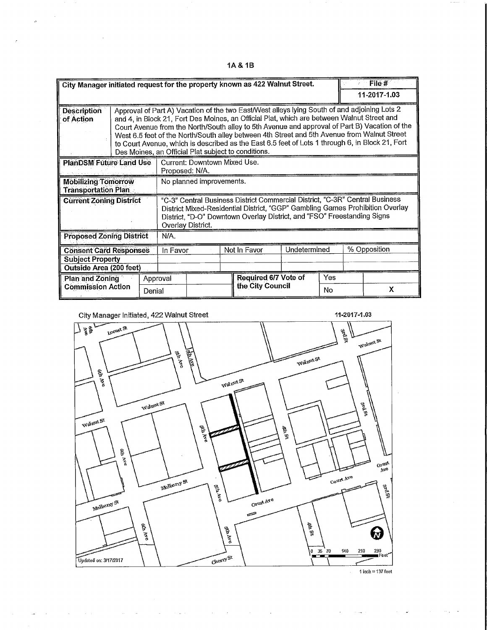1A&1B

|                                                                                     |                    |                                                                                                                                                                                                                                                                                                                                                                                                                                                                                                                                                      | City Manager initiated request for the property known as 422 Walnut Street.                                                                                                                                                                                   |  |              |                                          |              |           | File #       |              |  |
|-------------------------------------------------------------------------------------|--------------------|------------------------------------------------------------------------------------------------------------------------------------------------------------------------------------------------------------------------------------------------------------------------------------------------------------------------------------------------------------------------------------------------------------------------------------------------------------------------------------------------------------------------------------------------------|---------------------------------------------------------------------------------------------------------------------------------------------------------------------------------------------------------------------------------------------------------------|--|--------------|------------------------------------------|--------------|-----------|--------------|--------------|--|
|                                                                                     |                    |                                                                                                                                                                                                                                                                                                                                                                                                                                                                                                                                                      |                                                                                                                                                                                                                                                               |  |              |                                          |              |           |              | 11-2017-1.03 |  |
| <b>Description</b><br>of Action                                                     |                    | Approval of Part A) Vacation of the two East/West alleys lying South of and adjoining Lots 2<br>and 4, in Block 21, Fort Des Moines, an Official Plat, which are between Walnut Street and<br>Court Avenue from the North/South alley to 5th Avenue and approval of Part B) Vacation of the<br>West 6.5 feet of the North/South alley between 4th Street and 5th Avenue from Walnut Street<br>to Court Avenue, which is described as the East 6.5 feet of Lots 1 through 6, in Block 21, Fort<br>Des Moines, an Official Plat subject to conditions. |                                                                                                                                                                                                                                                               |  |              |                                          |              |           |              |              |  |
| <b>PlanDSM Future Land Use</b>                                                      |                    |                                                                                                                                                                                                                                                                                                                                                                                                                                                                                                                                                      | Current: Downtown Mixed Use.<br>Proposed: N/A.                                                                                                                                                                                                                |  |              |                                          |              |           |              |              |  |
| <b>Mobilizing Tomorrow</b><br><b>Transportation Plan</b>                            |                    |                                                                                                                                                                                                                                                                                                                                                                                                                                                                                                                                                      | No planned improvements.                                                                                                                                                                                                                                      |  |              |                                          |              |           |              |              |  |
| <b>Current Zoning District</b>                                                      |                    |                                                                                                                                                                                                                                                                                                                                                                                                                                                                                                                                                      | "C-3" Central Business District Commercial District, "C-3R" Central Business<br>District Mixed-Residential District, "GGP" Gambling Games Prohibition Overlay<br>District, "D-O" Downtown Overlay District, and "FSO" Freestanding Signs<br>Overlay District. |  |              |                                          |              |           |              |              |  |
| <b>Proposed Zoning District</b>                                                     |                    |                                                                                                                                                                                                                                                                                                                                                                                                                                                                                                                                                      | N/A.                                                                                                                                                                                                                                                          |  |              |                                          |              |           |              |              |  |
| <b>Consent Card Responses</b><br><b>Subject Property</b><br>Outside Area (200 feet) |                    |                                                                                                                                                                                                                                                                                                                                                                                                                                                                                                                                                      | In Favor                                                                                                                                                                                                                                                      |  | Not In Favor |                                          | Undetermined |           | % Opposition |              |  |
| <b>Plan and Zoning</b><br><b>Commission Action</b>                                  | Approval<br>Denial |                                                                                                                                                                                                                                                                                                                                                                                                                                                                                                                                                      |                                                                                                                                                                                                                                                               |  |              | Required 6/7 Vote of<br>the City Council |              | Yes<br>No |              | X            |  |

 $\bar{L}$  $\ddot{\phantom{a}}$ 

 $\bar{z}$ 

 $\sim$ 

 $\Delta_{\rm{max}}$ 

 $\sim$ 

 $\bar{z}$ 

 $\hat{\mathbf{v}}$ 

 $\bar{z}$ 

 $\mathcal{L}_{\mathcal{A}}$ 

 $\sim$  $\sim$  .



 $\sim 10^7$ 

 $\sim$ 

 $\sim$   $\sim$ 

 $1$  inch  $=137$  feet

 $\ddot{\phantom{a}}$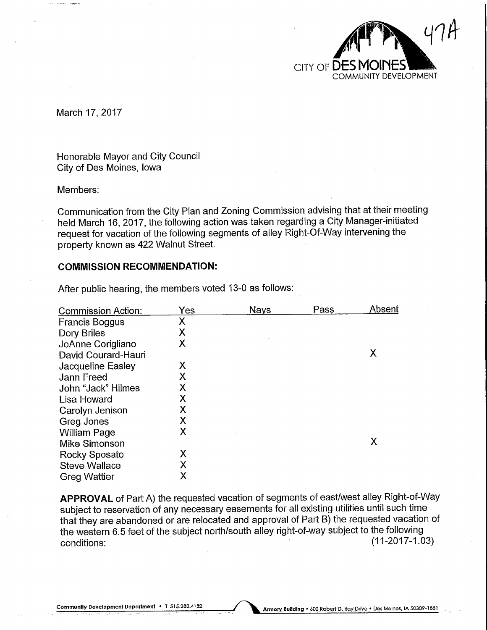

March 17, 2017

Honorable Mayor and City Council City of Des Moines, Iowa

Members:

Communication from the City Plan and Zoning Commission advising that at their meeting held March 16, 2017, the following action was taken regarding a City Manager-initiated request for vacation of the following segments of alley Right-Of-Way intervening the property known as 422 Walnut Street.

#### COMMISSION RECOMMENDATION:

| Yes | <b>Nays</b> | Pass | Absent |
|-----|-------------|------|--------|
| Χ   |             |      |        |
| Χ   |             |      |        |
| Χ   |             |      |        |
|     |             |      | Χ      |
| Χ   |             |      |        |
| Χ   |             |      |        |
| Χ   |             |      |        |
| Χ   |             |      |        |
| Χ   |             |      |        |
| Χ   |             |      |        |
| Х   |             |      |        |
|     |             |      | Χ      |
| Х   |             |      |        |
| Χ   |             |      |        |
| Χ   |             |      |        |
|     |             |      |        |

After public hearing, the members voted 13-0 as follows:

APPROVAL of Part A) the requested vacation of segments of east/west alley Right-of-Way subject to reservation of any necessary easements for all existing utilities until such time that they are abandoned or are relocated and approval of Part B) the requested vacation of the western 6.5 feet of the subject north/south alley right-of-way subject to the following riat triey are abandoned or are relocated and approval of Fart D) the requested vacation.<br>the western 6.5 feet of the subject north/south alley right-of-way subject to the following<br>conditions: (11-2017-1.03)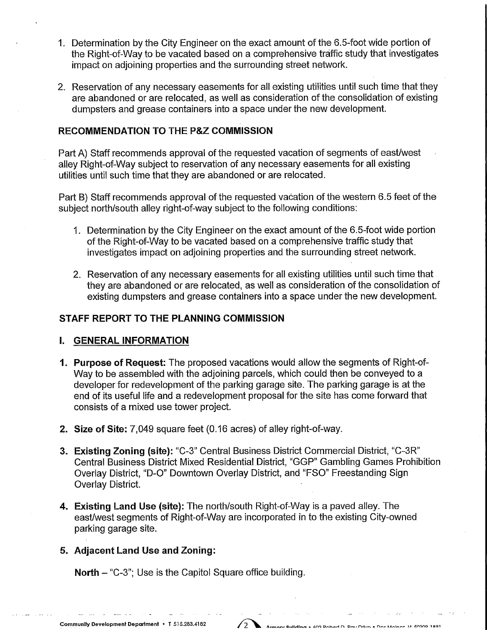- 1. Determination by the City Engineer on the exact amount of the 6.5-foot wide portion of the Right-of-Way to be vacated based on a comprehensive traffic study that investigates impact on adjoining properties and the surrounding street network.
- 2. Reservation of any necessary easements for all existing utilities until such time that they are abandoned or are relocated, as well as consideration of the consolidation of existing dumpsters and grease containers into a space under the new development.

### RECOMMENDATION TO THE P&Z COMMISSION

Part A) Staff recommends approval of the requested vacation of segments of east/west alley Right-of-Way subject to reservation of any necessary easements for all existing utilities until such time that they are abandoned or are relocated.

Part B) Staff recommends approval of the requested vacation of the western 6.5 feet of the subject north/south alley right-of-way subject to the following conditions:

- 1. Determination by the City Engineer on the exact amount of the 6.5-foot wide portion of the Right-of-Way to be vacated based on a comprehensive traffic study that investigates impact on adjoining properties and the surrounding street network.
- 2. Reservation of any necessary easements for all existing utilities until such time that they are abandoned or are relocated, as well as consideration of the consolidation of existing dumpsters and grease containers into a space under the new development.

### STAFF REPORT TO THE PLANNING COMMISSION

#### I. GENERAL INFORMATION

- 1. Purpose of Request: The proposed vacations would allow the segments of Right-of-Way to be assembled with the adjoining parcels, which could then be conveyed to a developer for redevelopment of the parking garage site. The parking garage is at the end of its useful life and a redevelopment proposal for the site has come forward that consists of a mixed use tower project.
- 2. Size of Site: 7,049 square feet (0.16 acres) of alley right-of-way.
- 3. Existing Zoning (site): "C-3" Central Business District Commercial District, "C-3R" Central Business District Mixed Residential District, "GGP" Gambling Games Prohibition Overlay District, "D-0" Downtown Overlay District, and "FSO" Freestanding Sign Overlay District.
- 4. Existing Land Use (site): The north/south Right-of-Way is a paved alley. The east/west segments of Right-of-Way are incorporated in to the existing City-owned parking garage site.

 $\sqrt{2}$ 

### 5. Adjacent Land Use and Zoning:

North - "C-3"; Use is the Capitol Square office building.

**Carl Corporation**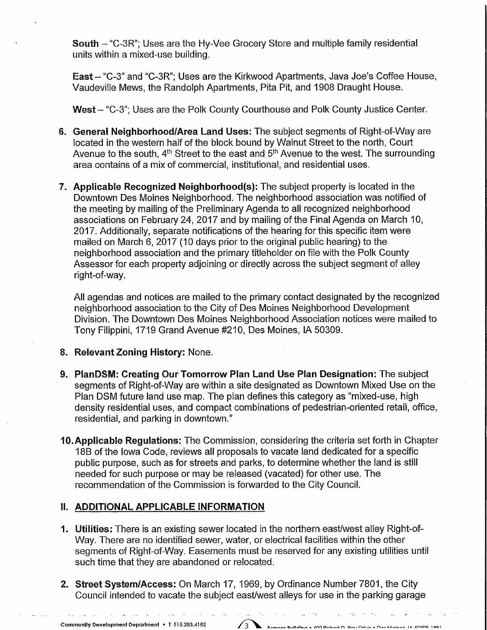South - "C-3R"; Uses are the Hy-Vee Grocery Store and multiple family residential units within a mixed-use building.

East - "C-3" and "C-3R"; Uses are the Kirkwood Apartments, Java Joe's Coffee House, Vaudeville Mews, the Randolph Apartments, Pita Pit, and 1908 Draught House.

West - "C-3"; Uses are the Polk County Courthouse and Polk County Justice Center.

- 6. General Neighborhood/Area Land Uses: The subject segments of Right-of-Way are located in the western half of the block bound by Walnut Street to the north, Court Avenue to the south,  $4<sup>th</sup>$  Street to the east and  $5<sup>th</sup>$  Avenue to the west. The surrounding area contains of a mix of commercial, institutional, and residential uses.
- 7. Applicable Recognized Neighborhood(s): The subject property is located in the Downtown Des Moines Neighborhood. The neighborhood association was notified of the meeting by mailing of the Preliminary Agenda to all recognized neighborhood associations on February 24, 2017 and by mailing of the Final Agenda on March 10, 2017. Additionally, separate notifications of the hearing for this specific item were mailed on March 6, 2017 (10 days prior to the original public hearing) to the neighborhood association and the primary titleholder on file with the Polk County Assessor for each property adjoining or directly across the subject segment of alley right-of-way.

All agendas and notices are mailed to the primary contact designated by the recognized neighborhood association to the City of Des Moines Neighborhood Development Division. The Downtown Des Moines Neighborhood Association notices were mailed to Tony Filippini, 1719 Grand Avenue #210, Des Moines, IA 50309.

### 8. Relevant Zoning History: None.

- 9. PlanDSM: Creating Our Tomorrow Plan Land Use Plan Designation: The subject segments of Right-of-Way are within a site designated as Downtown Mixed Use on the Plan DSM future land use map. The plan defines this category as "mixed-use, high density residential uses, and compact combinations of pedestrian-oriented retail, office, residential, and parking in downtown."
- 10.Applicable Regulations: The Commission, considering the criteria set forth in Chapter 18B of the Iowa Code, reviews all proposals to vacate land dedicated for a specific public purpose, such as for streets and parks, to determine whether the land is still needed for such purpose or may be released (vacated) for other use. The recommendation of the Commission is forwarded to the City Council.

# II. ADDITIONAL APPLICABLE INFORMATION

- 1. Utilities: There is an existing sewer located in the northern east/west alley Right-of-Way. There are no identified sewer, water, or electrical facilities within the other segments of Right-of-Way. Easements must be reserved for any existing utilities until such time that they are abandoned or relocated.
- 2. Street System/Access: On March 17, 1969, by Ordinance Number 7801, the City Council intended to vacate the subject east/west alleys for use in the parking garage

 $\sim 10^{11}$ 

 $\omega_{\rm{max}}=0.5$